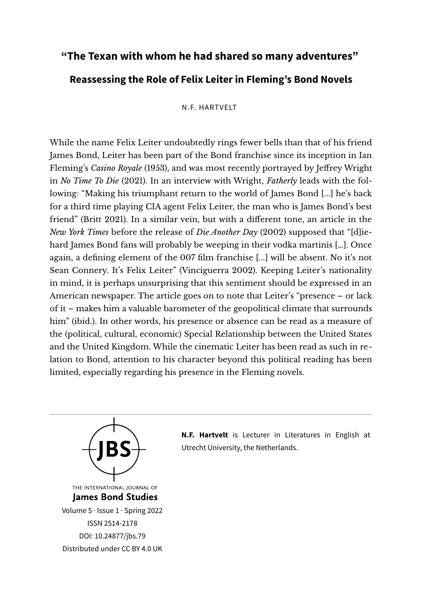# **"The Texan with whom he had shared so many adventures"**

# **Reassessing the Role of Felix Leiter in Fleming's Bond Novels**

N.F. HARTVELT

While the name Felix Leiter undoubtedly rings fewer bells than that of his friend James Bond, Leiter has been part of the Bond franchise since its inception in Ian Fleming's *Casino Royale* (1953), and was most recently portrayed by Jefrey Wright in *No Time To Die* (2021). In an interview with Wright, *Fatherly* leads with the following: "Making his triumphant return to the world of James Bond [...] he's back for a third time playing CIA agent Felix Leiter, the man who is James Bond's best friend" (Britt 2021). In a similar vein, but with a diferent tone, an article in the *New York Times* before the release of *Die Another Day* (2002) supposed that "[d]iehard James Bond fans will probably be weeping in their vodka martinis […]. Once again, a defning element of the 007 flm franchise [...] will be absent. No it's not Sean Connery. It's Felix Leiter" (Vinciguerra 2002). Keeping Leiter's nationality in mind, it is perhaps unsurprising that this sentiment should be expressed in an American newspaper. The article goes on to note that Leiter's "presence – or lack of it – makes him a valuable barometer of the geopolitical climate that surrounds him" (ibid.). In other words, his presence or absence can be read as a measure of the (political, cultural, economic) Special Relationship between the United States and the United Kingdom. While the cinematic Leiter has been read as such in relation to Bond, attention to his character beyond this political reading has been limited, especially regarding his presence in the Fleming novels.



**N.F. Hartvelt** is Lecturer in Literatures in English at Utrecht University, the Netherlands.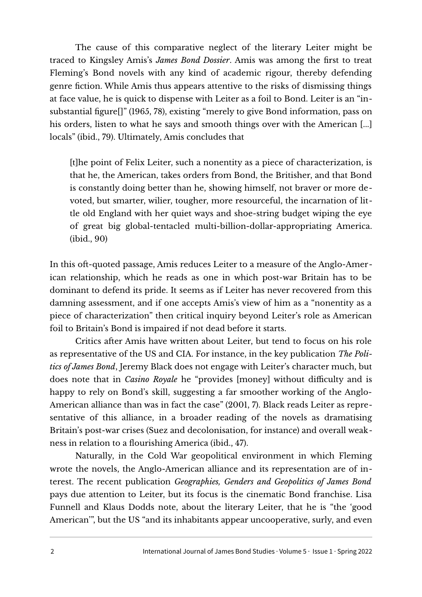The cause of this comparative neglect of the literary Leiter might be traced to Kingsley Amis's *James Bond Dossier*. Amis was among the frst to treat Fleming's Bond novels with any kind of academic rigour, thereby defending genre fction. While Amis thus appears attentive to the risks of dismissing things at face value, he is quick to dispense with Leiter as a foil to Bond. Leiter is an "insubstantial fgure[]" (1965, 78), existing "merely to give Bond information, pass on his orders, listen to what he says and smooth things over with the American [...] locals" (ibid., 79). Ultimately, Amis concludes that

[t]he point of Felix Leiter, such a nonentity as a piece of characterization, is that he, the American, takes orders from Bond, the Britisher, and that Bond is constantly doing better than he, showing himself, not braver or more devoted, but smarter, wilier, tougher, more resourceful, the incarnation of little old England with her quiet ways and shoe-string budget wiping the eye of great big global-tentacled multi-billion-dollar-appropriating America. (ibid., 90)

In this oft-quoted passage, Amis reduces Leiter to a measure of the Anglo-American relationship, which he reads as one in which post-war Britain has to be dominant to defend its pride. It seems as if Leiter has never recovered from this damning assessment, and if one accepts Amis's view of him as a "nonentity as a piece of characterization" then critical inquiry beyond Leiter's role as American foil to Britain's Bond is impaired if not dead before it starts.

Critics after Amis have written about Leiter, but tend to focus on his role as representative of the US and CIA. For instance, in the key publication *The Politics of James Bond*, Jeremy Black does not engage with Leiter's character much, but does note that in *Casino Royale* he "provides [money] without difficulty and is happy to rely on Bond's skill, suggesting a far smoother working of the Anglo-American alliance than was in fact the case" (2001, 7). Black reads Leiter as representative of this alliance, in a broader reading of the novels as dramatising Britain's post-war crises (Suez and decolonisation, for instance) and overall weakness in relation to a fourishing America (ibid., 47).

Naturally, in the Cold War geopolitical environment in which Fleming wrote the novels, the Anglo-American alliance and its representation are of interest. The recent publication *Geographies, Genders and Geopolitics of James Bond* pays due attention to Leiter, but its focus is the cinematic Bond franchise. Lisa Funnell and Klaus Dodds note, about the literary Leiter, that he is "the 'good American'", but the US "and its inhabitants appear uncooperative, surly, and even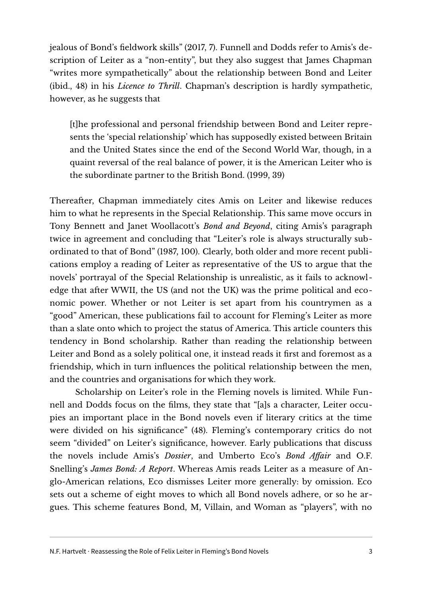jealous of Bond's feldwork skills" (2017, 7). Funnell and Dodds refer to Amis's description of Leiter as a "non-entity", but they also suggest that James Chapman "writes more sympathetically" about the relationship between Bond and Leiter (ibid., 48) in his *Licence to Thrill*. Chapman's description is hardly sympathetic, however, as he suggests that

[t]he professional and personal friendship between Bond and Leiter represents the 'special relationship' which has supposedly existed between Britain and the United States since the end of the Second World War, though, in a quaint reversal of the real balance of power, it is the American Leiter who is the subordinate partner to the British Bond. (1999, 39)

Thereafter, Chapman immediately cites Amis on Leiter and likewise reduces him to what he represents in the Special Relationship. This same move occurs in Tony Bennett and Janet Woollacott's *Bond and Beyond*, citing Amis's paragraph twice in agreement and concluding that "Leiter's role is always structurally subordinated to that of Bond" (1987, 100). Clearly, both older and more recent publications employ a reading of Leiter as representative of the US to argue that the novels' portrayal of the Special Relationship is unrealistic, as it fails to acknowledge that after WWII, the US (and not the UK) was the prime political and economic power. Whether or not Leiter is set apart from his countrymen as a "good" American, these publications fail to account for Fleming's Leiter as more than a slate onto which to project the status of America. This article counters this tendency in Bond scholarship. Rather than reading the relationship between Leiter and Bond as a solely political one, it instead reads it frst and foremost as a friendship, which in turn infuences the political relationship between the men, and the countries and organisations for which they work.

Scholarship on Leiter's role in the Fleming novels is limited. While Funnell and Dodds focus on the flms, they state that "[a]s a character, Leiter occupies an important place in the Bond novels even if literary critics at the time were divided on his signifcance" (48). Fleming's contemporary critics do not seem "divided" on Leiter's signifcance, however. Early publications that discuss the novels include Amis's *Dossier*, and Umberto Eco's *Bond Afair* and O.F. Snelling's *James Bond: A Report*. Whereas Amis reads Leiter as a measure of Anglo-American relations, Eco dismisses Leiter more generally: by omission. Eco sets out a scheme of eight moves to which all Bond novels adhere, or so he argues. This scheme features Bond, M, Villain, and Woman as "players", with no

N.F. Hartvelt · Reassessing the Role of Felix Leiter in Fleming's Bond Novels 3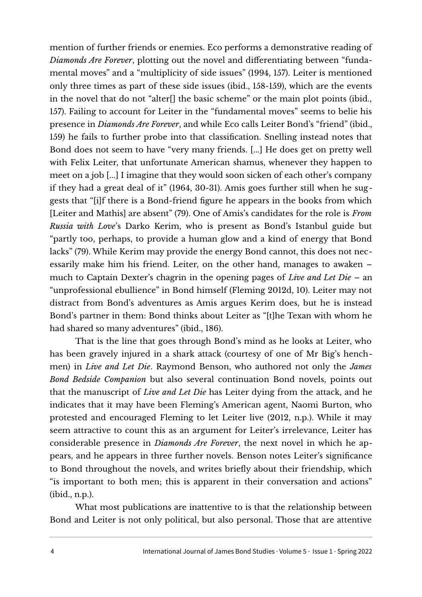mention of further friends or enemies. Eco performs a demonstrative reading of *Diamonds Are Forever*, plotting out the novel and diferentiating between "fundamental moves" and a "multiplicity of side issues" (1994, 157). Leiter is mentioned only three times as part of these side issues (ibid., 158-159), which are the events in the novel that do not "alter[] the basic scheme" or the main plot points (ibid., 157). Failing to account for Leiter in the "fundamental moves" seems to belie his presence in *Diamonds Are Forever*, and while Eco calls Leiter Bond's "friend" (ibid., 159) he fails to further probe into that classifcation. Snelling instead notes that Bond does not seem to have "very many friends. [...] He does get on pretty well with Felix Leiter, that unfortunate American shamus, whenever they happen to meet on a job [...] I imagine that they would soon sicken of each other's company if they had a great deal of it" (1964, 30-31). Amis goes further still when he suggests that "[i]f there is a Bond-friend fgure he appears in the books from which [Leiter and Mathis] are absent" (79). One of Amis's candidates for the role is *From Russia with Love*'s Darko Kerim, who is present as Bond's Istanbul guide but "partly too, perhaps, to provide a human glow and a kind of energy that Bond lacks" (79). While Kerim may provide the energy Bond cannot, this does not necessarily make him his friend. Leiter, on the other hand, manages to awaken – much to Captain Dexter's chagrin in the opening pages of *Live and Let Die* – an "unprofessional ebullience" in Bond himself (Fleming 2012d, 10). Leiter may not distract from Bond's adventures as Amis argues Kerim does, but he is instead Bond's partner in them: Bond thinks about Leiter as "[t]he Texan with whom he had shared so many adventures" (ibid., 186).

That is the line that goes through Bond's mind as he looks at Leiter, who has been gravely injured in a shark attack (courtesy of one of Mr Big's henchmen) in *Live and Let Die*. Raymond Benson, who authored not only the *James Bond Bedside Companion* but also several continuation Bond novels, points out that the manuscript of *Live and Let Die* has Leiter dying from the attack, and he indicates that it may have been Fleming's American agent, Naomi Burton, who protested and encouraged Fleming to let Leiter live (2012, n.p.). While it may seem attractive to count this as an argument for Leiter's irrelevance, Leiter has considerable presence in *Diamonds Are Forever*, the next novel in which he appears, and he appears in three further novels. Benson notes Leiter's signifcance to Bond throughout the novels, and writes briefy about their friendship, which "is important to both men; this is apparent in their conversation and actions" (ibid., n.p.).

What most publications are inattentive to is that the relationship between Bond and Leiter is not only political, but also personal. Those that are attentive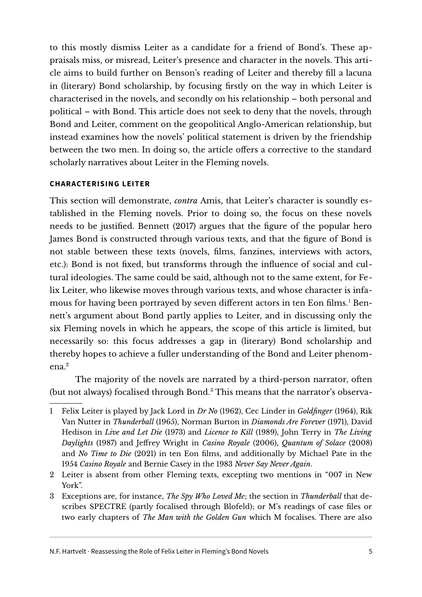to this mostly dismiss Leiter as a candidate for a friend of Bond's. These appraisals miss, or misread, Leiter's presence and character in the novels. This article aims to build further on Benson's reading of Leiter and thereby fll a lacuna in (literary) Bond scholarship, by focusing frstly on the way in which Leiter is characterised in the novels, and secondly on his relationship – both personal and political – with Bond. This article does not seek to deny that the novels, through Bond and Leiter, comment on the geopolitical Anglo-American relationship, but instead examines how the novels' political statement is driven by the friendship between the two men. In doing so, the article offers a corrective to the standard scholarly narratives about Leiter in the Fleming novels.

## **CHARACTERISING LEITER**

This section will demonstrate, *contra* Amis, that Leiter's character is soundly established in the Fleming novels. Prior to doing so, the focus on these novels needs to be justifed. Bennett (2017) argues that the fgure of the popular hero James Bond is constructed through various texts, and that the fgure of Bond is not stable between these texts (novels, flms, fanzines, interviews with actors, etc.): Bond is not fxed, but transforms through the infuence of social and cultural ideologies. The same could be said, although not to the same extent, for Felix Leiter, who likewise moves through various texts, and whose character is infa-mous for having been portrayed by seven different actors in ten Eon films.<sup>[1](#page-4-0)</sup> Bennett's argument about Bond partly applies to Leiter, and in discussing only the six Fleming novels in which he appears, the scope of this article is limited, but necessarily so: this focus addresses a gap in (literary) Bond scholarship and thereby hopes to achieve a fuller understanding of the Bond and Leiter phenomena.[2](#page-4-1)

The majority of the novels are narrated by a third-person narrator, often (but not always) focalised through Bond. $3$  This means that the narrator's observa-

<span id="page-4-2"></span>3 Exceptions are, for instance, *The Spy Who Loved Me*; the section in *Thunderball* that describes SPECTRE (partly focalised through Blofeld); or M's readings of case fles or two early chapters of *The Man with the Golden Gun* which M focalises. There are also

<span id="page-4-0"></span><sup>1</sup> Felix Leiter is played by Jack Lord in *Dr No* (1962), Cec Linder in *Goldfinger* (1964), Rik Van Nutter in *Thunderball* (1965), Norman Burton in *Diamonds Are Forever* (1971), David Hedison in *Live and Let Die* (1973) and *Licence to Kill* (1989), John Terry in *The Living Daylights* (1987) and Jefrey Wright in *Casino Royale* (2006), *Quantum of Solace* (2008) and *No Time to Die* (2021) in ten Eon flms, and additionally by Michael Pate in the 1954 *Casino Royale* and Bernie Casey in the 1983 *Never Say Never Again*.

<span id="page-4-1"></span><sup>2</sup> Leiter is absent from other Fleming texts, excepting two mentions in "007 in New York".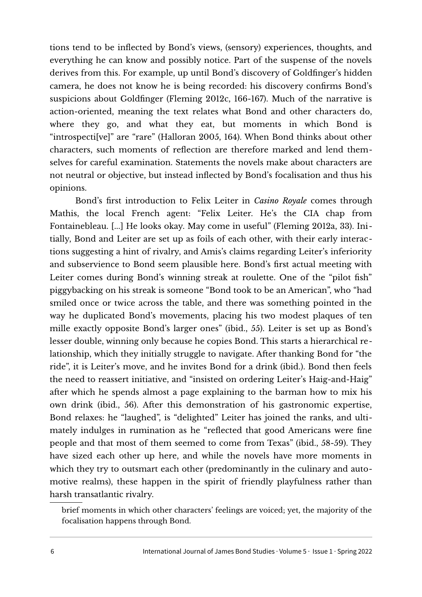tions tend to be infected by Bond's views, (sensory) experiences, thoughts, and everything he can know and possibly notice. Part of the suspense of the novels derives from this. For example, up until Bond's discovery of Goldfnger's hidden camera, he does not know he is being recorded: his discovery confrms Bond's suspicions about Goldfnger (Fleming 2012c, 166-167). Much of the narrative is action-oriented, meaning the text relates what Bond and other characters do, where they go, and what they eat, but moments in which Bond is "introspecti[ve]" are "rare" (Halloran 2005, 164). When Bond thinks about other characters, such moments of refection are therefore marked and lend themselves for careful examination. Statements the novels make about characters are not neutral or objective, but instead infected by Bond's focalisation and thus his opinions.

Bond's frst introduction to Felix Leiter in *Casino Royale* comes through Mathis, the local French agent: "Felix Leiter. He's the CIA chap from Fontainebleau. [...] He looks okay. May come in useful" (Fleming 2012a, 33). Initially, Bond and Leiter are set up as foils of each other, with their early interactions suggesting a hint of rivalry, and Amis's claims regarding Leiter's inferiority and subservience to Bond seem plausible here. Bond's frst actual meeting with Leiter comes during Bond's winning streak at roulette. One of the "pilot fsh" piggybacking on his streak is someone "Bond took to be an American", who "had smiled once or twice across the table, and there was something pointed in the way he duplicated Bond's movements, placing his two modest plaques of ten mille exactly opposite Bond's larger ones" (ibid., 55). Leiter is set up as Bond's lesser double, winning only because he copies Bond. This starts a hierarchical relationship, which they initially struggle to navigate. Afer thanking Bond for "the ride", it is Leiter's move, and he invites Bond for a drink (ibid.). Bond then feels the need to reassert initiative, and "insisted on ordering Leiter's Haig-and-Haig" afer which he spends almost a page explaining to the barman how to mix his own drink (ibid., 56). Afer this demonstration of his gastronomic expertise, Bond relaxes: he "laughed", is "delighted" Leiter has joined the ranks, and ultimately indulges in rumination as he "refected that good Americans were fne people and that most of them seemed to come from Texas" (ibid., 58-59). They have sized each other up here, and while the novels have more moments in which they try to outsmart each other (predominantly in the culinary and automotive realms), these happen in the spirit of friendly playfulness rather than harsh transatlantic rivalry.

brief moments in which other characters' feelings are voiced; yet, the majority of the focalisation happens through Bond.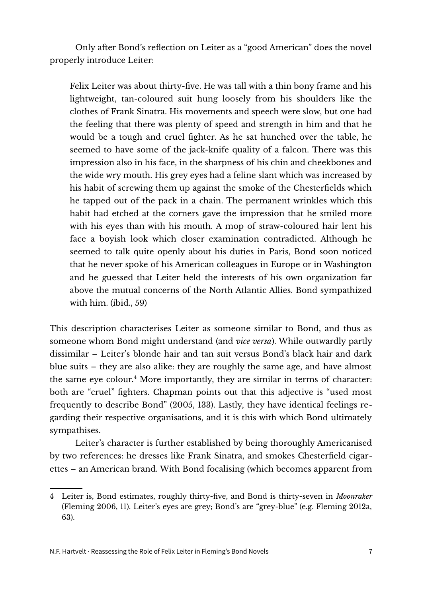Only after Bond's reflection on Leiter as a "good American" does the novel properly introduce Leiter:

Felix Leiter was about thirty-fve. He was tall with a thin bony frame and his lightweight, tan-coloured suit hung loosely from his shoulders like the clothes of Frank Sinatra. His movements and speech were slow, but one had the feeling that there was plenty of speed and strength in him and that he would be a tough and cruel fghter. As he sat hunched over the table, he seemed to have some of the jack-knife quality of a falcon. There was this impression also in his face, in the sharpness of his chin and cheekbones and the wide wry mouth. His grey eyes had a feline slant which was increased by his habit of screwing them up against the smoke of the Chesterfelds which he tapped out of the pack in a chain. The permanent wrinkles which this habit had etched at the corners gave the impression that he smiled more with his eyes than with his mouth. A mop of straw-coloured hair lent his face a boyish look which closer examination contradicted. Although he seemed to talk quite openly about his duties in Paris, Bond soon noticed that he never spoke of his American colleagues in Europe or in Washington and he guessed that Leiter held the interests of his own organization far above the mutual concerns of the North Atlantic Allies. Bond sympathized with him. (ibid., 59)

This description characterises Leiter as someone similar to Bond, and thus as someone whom Bond might understand (and *vice versa*). While outwardly partly dissimilar – Leiter's blonde hair and tan suit versus Bond's black hair and dark blue suits – they are also alike: they are roughly the same age, and have almost the same eye colour.<sup>[4](#page-6-0)</sup> More importantly, they are similar in terms of character: both are "cruel" fghters. Chapman points out that this adjective is "used most frequently to describe Bond" (2005, 133). Lastly, they have identical feelings regarding their respective organisations, and it is this with which Bond ultimately sympathises.

Leiter's character is further established by being thoroughly Americanised by two references: he dresses like Frank Sinatra, and smokes Chesterfeld cigarettes – an American brand. With Bond focalising (which becomes apparent from

<span id="page-6-0"></span><sup>4</sup> Leiter is, Bond estimates, roughly thirty-fve, and Bond is thirty-seven in *Moonraker* (Fleming 2006, 11). Leiter's eyes are grey; Bond's are "grey-blue" (e.g. Fleming 2012a, 63).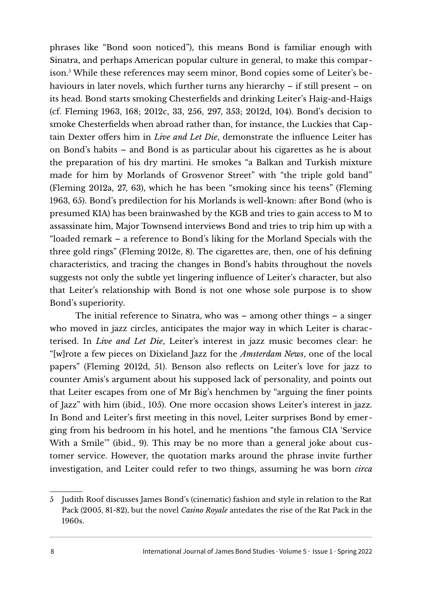phrases like "Bond soon noticed"), this means Bond is familiar enough with Sinatra, and perhaps American popular culture in general, to make this compar-ison.<sup>[5](#page-7-0)</sup> While these references may seem minor, Bond copies some of Leiter's behaviours in later novels, which further turns any hierarchy – if still present – on its head. Bond starts smoking Chesterfelds and drinking Leiter's Haig-and-Haigs (cf. Fleming 1963, 168; 2012c, 33, 256, 297, 353; 2012d, 104). Bond's decision to smoke Chesterfelds when abroad rather than, for instance, the Luckies that Captain Dexter offers him in *Live and Let Die*, demonstrate the influence Leiter has on Bond's habits – and Bond is as particular about his cigarettes as he is about the preparation of his dry martini. He smokes "a Balkan and Turkish mixture made for him by Morlands of Grosvenor Street" with "the triple gold band" (Fleming 2012a, 27, 63), which he has been "smoking since his teens" (Fleming 1963, 65). Bond's predilection for his Morlands is well-known: afer Bond (who is presumed KIA) has been brainwashed by the KGB and tries to gain access to M to assassinate him, Major Townsend interviews Bond and tries to trip him up with a "loaded remark – a reference to Bond's liking for the Morland Specials with the three gold rings" (Fleming 2012e, 8). The cigarettes are, then, one of his defning characteristics, and tracing the changes in Bond's habits throughout the novels suggests not only the subtle yet lingering infuence of Leiter's character, but also that Leiter's relationship with Bond is not one whose sole purpose is to show Bond's superiority.

The initial reference to Sinatra, who was – among other things – a singer who moved in jazz circles, anticipates the major way in which Leiter is characterised. In *Live and Let Die*, Leiter's interest in jazz music becomes clear: he "[w]rote a few pieces on Dixieland Jazz for the *Amsterdam News*, one of the local papers" (Fleming 2012d, 51). Benson also refects on Leiter's love for jazz to counter Amis's argument about his supposed lack of personality, and points out that Leiter escapes from one of Mr Big's henchmen by "arguing the fner points of Jazz" with him (ibid., 105). One more occasion shows Leiter's interest in jazz. In Bond and Leiter's frst meeting in this novel, Leiter surprises Bond by emerging from his bedroom in his hotel, and he mentions "the famous CIA 'Service With a Smile'" (ibid., 9). This may be no more than a general joke about customer service. However, the quotation marks around the phrase invite further investigation, and Leiter could refer to two things, assuming he was born *circa*

<span id="page-7-0"></span><sup>5</sup> Judith Roof discusses James Bond's (cinematic) fashion and style in relation to the Rat Pack (2005, 81-82), but the novel *Casino Royale* antedates the rise of the Rat Pack in the 1960s.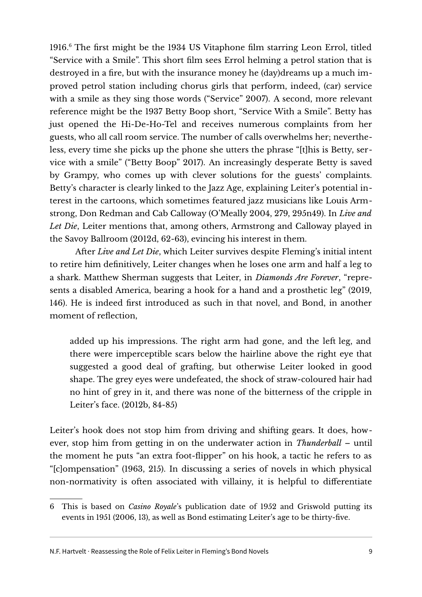1916.[6](#page-8-0) The frst might be the 1934 US Vitaphone flm starring Leon Errol, titled "Service with a Smile". This short flm sees Errol helming a petrol station that is destroyed in a fre, but with the insurance money he (day)dreams up a much improved petrol station including chorus girls that perform, indeed, (car) service with a smile as they sing those words ("Service" 2007). A second, more relevant reference might be the 1937 Betty Boop short, "Service With a Smile". Betty has just opened the Hi-De-Ho-Tel and receives numerous complaints from her guests, who all call room service. The number of calls overwhelms her; nevertheless, every time she picks up the phone she utters the phrase "[t]his is Betty, service with a smile" ("Betty Boop" 2017). An increasingly desperate Betty is saved by Grampy, who comes up with clever solutions for the guests' complaints. Betty's character is clearly linked to the Jazz Age, explaining Leiter's potential interest in the cartoons, which sometimes featured jazz musicians like Louis Armstrong, Don Redman and Cab Calloway (O'Meally 2004, 279, 295n49). In *Live and Let Die*, Leiter mentions that, among others, Armstrong and Calloway played in the Savoy Ballroom (2012d, 62-63), evincing his interest in them.

Afer *Live and Let Die*, which Leiter survives despite Fleming's initial intent to retire him defnitively, Leiter changes when he loses one arm and half a leg to a shark. Matthew Sherman suggests that Leiter, in *Diamonds Are Forever*, "represents a disabled America, bearing a hook for a hand and a prosthetic leg" (2019, 146). He is indeed frst introduced as such in that novel, and Bond, in another moment of refection,

added up his impressions. The right arm had gone, and the left leg, and there were imperceptible scars below the hairline above the right eye that suggested a good deal of grafing, but otherwise Leiter looked in good shape. The grey eyes were undefeated, the shock of straw-coloured hair had no hint of grey in it, and there was none of the bitterness of the cripple in Leiter's face. (2012b, 84-85)

Leiter's hook does not stop him from driving and shifing gears. It does, however, stop him from getting in on the underwater action in *Thunderball* – until the moment he puts "an extra foot-fipper" on his hook, a tactic he refers to as "[c]ompensation" (1963, 215). In discussing a series of novels in which physical non-normativity is ofen associated with villainy, it is helpful to diferentiate

<span id="page-8-0"></span><sup>6</sup> This is based on *Casino Royale*'s publication date of 1952 and Griswold putting its events in 1951 (2006, 13), as well as Bond estimating Leiter's age to be thirty-fve.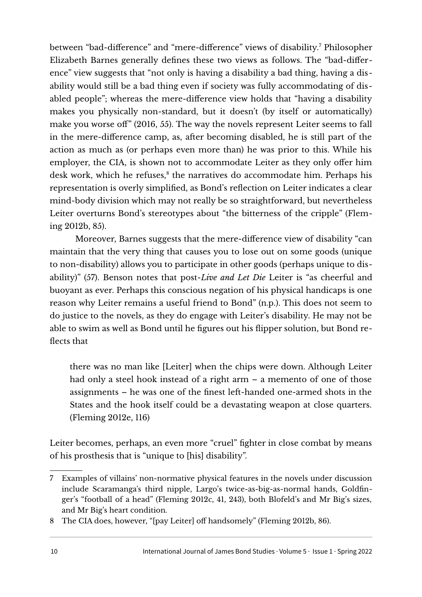between "bad-difference" and "mere-difference" views of disability.<sup>[7](#page-9-0)</sup> Philosopher Elizabeth Barnes generally defnes these two views as follows. The "bad-diference" view suggests that "not only is having a disability a bad thing, having a disability would still be a bad thing even if society was fully accommodating of disabled people"; whereas the mere-diference view holds that "having a disability makes you physically non-standard, but it doesn't (by itself or automatically) make you worse off" (2016, 55). The way the novels represent Leiter seems to fall in the mere-diference camp, as, afer becoming disabled, he is still part of the action as much as (or perhaps even more than) he was prior to this. While his employer, the CIA, is shown not to accommodate Leiter as they only offer him desk work, which he refuses,<sup>[8](#page-9-1)</sup> the narratives do accommodate him. Perhaps his representation is overly simplifed, as Bond's refection on Leiter indicates a clear mind-body division which may not really be so straightforward, but nevertheless Leiter overturns Bond's stereotypes about "the bitterness of the cripple" (Fleming 2012b, 85).

Moreover, Barnes suggests that the mere-diference view of disability "can maintain that the very thing that causes you to lose out on some goods (unique to non-disability) allows you to participate in other goods (perhaps unique to disability)" (57). Benson notes that post-*Live and Let Die* Leiter is "as cheerful and buoyant as ever. Perhaps this conscious negation of his physical handicaps is one reason why Leiter remains a useful friend to Bond" (n.p.). This does not seem to do justice to the novels, as they do engage with Leiter's disability. He may not be able to swim as well as Bond until he fgures out his fipper solution, but Bond refects that

there was no man like [Leiter] when the chips were down. Although Leiter had only a steel hook instead of a right arm – a memento of one of those assignments – he was one of the fnest lef-handed one-armed shots in the States and the hook itself could be a devastating weapon at close quarters. (Fleming 2012e, 116)

Leiter becomes, perhaps, an even more "cruel" fghter in close combat by means of his prosthesis that is "unique to [his] disability".

<span id="page-9-0"></span><sup>7</sup> Examples of villains' non-normative physical features in the novels under discussion include Scaramanga's third nipple, Largo's twice-as-big-as-normal hands, Goldfnger's "football of a head" (Fleming 2012c, 41, 243), both Blofeld's and Mr Big's sizes, and Mr Big's heart condition.

<span id="page-9-1"></span><sup>8</sup> The CIA does, however, "[pay Leiter] off handsomely" (Fleming 2012b, 86).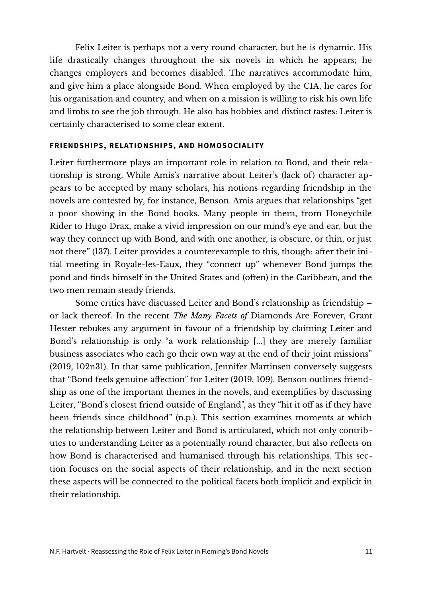Felix Leiter is perhaps not a very round character, but he is dynamic. His life drastically changes throughout the six novels in which he appears; he changes employers and becomes disabled. The narratives accommodate him, and give him a place alongside Bond. When employed by the CIA, he cares for his organisation and country, and when on a mission is willing to risk his own life and limbs to see the job through. He also has hobbies and distinct tastes: Leiter is certainly characterised to some clear extent.

#### **FRIENDSHIPS, RELATIONSHIPS, AND HOMOSOCIALITY**

Leiter furthermore plays an important role in relation to Bond, and their relationship is strong. While Amis's narrative about Leiter's (lack of) character appears to be accepted by many scholars, his notions regarding friendship in the novels are contested by, for instance, Benson. Amis argues that relationships "get a poor showing in the Bond books. Many people in them, from Honeychile Rider to Hugo Drax, make a vivid impression on our mind's eye and ear, but the way they connect up with Bond, and with one another, is obscure, or thin, or just not there" (137). Leiter provides a counterexample to this, though: after their initial meeting in Royale-les-Eaux, they "connect up" whenever Bond jumps the pond and finds himself in the United States and (often) in the Caribbean, and the two men remain steady friends.

Some critics have discussed Leiter and Bond's relationship as friendship – or lack thereof. In the recent *The Many Facets of* Diamonds Are Forever, Grant Hester rebukes any argument in favour of a friendship by claiming Leiter and Bond's relationship is only "a work relationship [...] they are merely familiar business associates who each go their own way at the end of their joint missions" (2019, 102n31). In that same publication, Jennifer Martinsen conversely suggests that "Bond feels genuine afection" for Leiter (2019, 109). Benson outlines friendship as one of the important themes in the novels, and exemplifes by discussing Leiter, "Bond's closest friend outside of England", as they "hit it off as if they have been friends since childhood" (n.p.). This section examines moments at which the relationship between Leiter and Bond is articulated, which not only contributes to understanding Leiter as a potentially round character, but also refects on how Bond is characterised and humanised through his relationships. This section focuses on the social aspects of their relationship, and in the next section these aspects will be connected to the political facets both implicit and explicit in their relationship.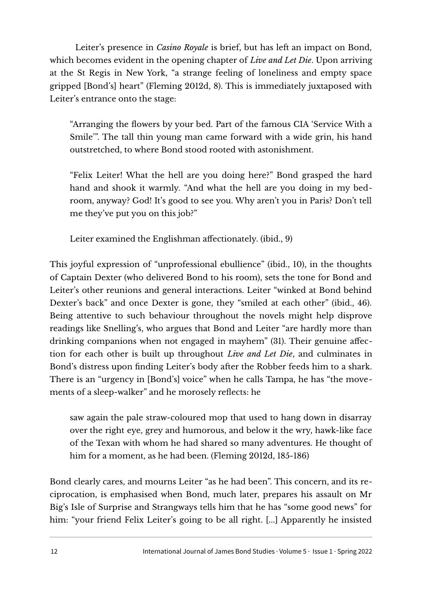Leiter's presence in *Casino Royale* is brief, but has left an impact on Bond, which becomes evident in the opening chapter of *Live and Let Die*. Upon arriving at the St Regis in New York, "a strange feeling of loneliness and empty space gripped [Bond's] heart" (Fleming 2012d, 8). This is immediately juxtaposed with Leiter's entrance onto the stage:

"Arranging the fowers by your bed. Part of the famous CIA 'Service With a Smile'". The tall thin young man came forward with a wide grin, his hand outstretched, to where Bond stood rooted with astonishment.

"Felix Leiter! What the hell are you doing here?" Bond grasped the hard hand and shook it warmly. "And what the hell are you doing in my bedroom, anyway? God! It's good to see you. Why aren't you in Paris? Don't tell me they've put you on this job?"

Leiter examined the Englishman afectionately. (ibid., 9)

This joyful expression of "unprofessional ebullience" (ibid., 10), in the thoughts of Captain Dexter (who delivered Bond to his room), sets the tone for Bond and Leiter's other reunions and general interactions. Leiter "winked at Bond behind Dexter's back" and once Dexter is gone, they "smiled at each other" (ibid., 46). Being attentive to such behaviour throughout the novels might help disprove readings like Snelling's, who argues that Bond and Leiter "are hardly more than drinking companions when not engaged in mayhem" (31). Their genuine afection for each other is built up throughout *Live and Let Die*, and culminates in Bond's distress upon fnding Leiter's body afer the Robber feeds him to a shark. There is an "urgency in [Bond's] voice" when he calls Tampa, he has "the movements of a sleep-walker" and he morosely refects: he

saw again the pale straw-coloured mop that used to hang down in disarray over the right eye, grey and humorous, and below it the wry, hawk-like face of the Texan with whom he had shared so many adventures. He thought of him for a moment, as he had been. (Fleming 2012d, 185-186)

Bond clearly cares, and mourns Leiter "as he had been". This concern, and its reciprocation, is emphasised when Bond, much later, prepares his assault on Mr Big's Isle of Surprise and Strangways tells him that he has "some good news" for him: "your friend Felix Leiter's going to be all right. [...] Apparently he insisted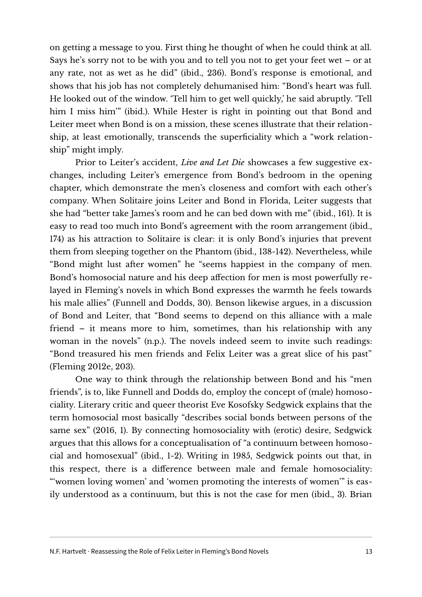on getting a message to you. First thing he thought of when he could think at all. Says he's sorry not to be with you and to tell you not to get your feet wet – or at any rate, not as wet as he did" (ibid., 236). Bond's response is emotional, and shows that his job has not completely dehumanised him: "Bond's heart was full. He looked out of the window. 'Tell him to get well quickly,' he said abruptly. 'Tell him I miss him'" (ibid.). While Hester is right in pointing out that Bond and Leiter meet when Bond is on a mission, these scenes illustrate that their relationship, at least emotionally, transcends the superfciality which a "work relationship" might imply.

Prior to Leiter's accident, *Live and Let Die* showcases a few suggestive exchanges, including Leiter's emergence from Bond's bedroom in the opening chapter, which demonstrate the men's closeness and comfort with each other's company. When Solitaire joins Leiter and Bond in Florida, Leiter suggests that she had "better take James's room and he can bed down with me" (ibid., 161). It is easy to read too much into Bond's agreement with the room arrangement (ibid., 174) as his attraction to Solitaire is clear: it is only Bond's injuries that prevent them from sleeping together on the Phantom (ibid., 138-142). Nevertheless, while "Bond might lust afer women" he "seems happiest in the company of men. Bond's homosocial nature and his deep afection for men is most powerfully relayed in Fleming's novels in which Bond expresses the warmth he feels towards his male allies" (Funnell and Dodds, 30). Benson likewise argues, in a discussion of Bond and Leiter, that "Bond seems to depend on this alliance with a male friend – it means more to him, sometimes, than his relationship with any woman in the novels" (n.p.). The novels indeed seem to invite such readings: "Bond treasured his men friends and Felix Leiter was a great slice of his past" (Fleming 2012e, 203).

One way to think through the relationship between Bond and his "men friends", is to, like Funnell and Dodds do, employ the concept of (male) homosociality. Literary critic and queer theorist Eve Kosofsky Sedgwick explains that the term homosocial most basically "describes social bonds between persons of the same sex" (2016, 1). By connecting homosociality with (erotic) desire, Sedgwick argues that this allows for a conceptualisation of "a continuum between homosocial and homosexual" (ibid., 1-2). Writing in 1985, Sedgwick points out that, in this respect, there is a diference between male and female homosociality: "'women loving women' and 'women promoting the interests of women'" is easily understood as a continuum, but this is not the case for men (ibid., 3). Brian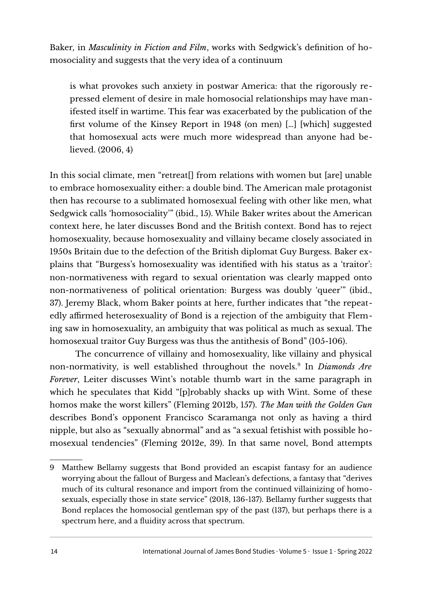Baker, in *Masculinity in Fiction and Film*, works with Sedgwick's defnition of homosociality and suggests that the very idea of a continuum

is what provokes such anxiety in postwar America: that the rigorously repressed element of desire in male homosocial relationships may have manifested itself in wartime. This fear was exacerbated by the publication of the frst volume of the Kinsey Report in 1948 (on men) […] [which] suggested that homosexual acts were much more widespread than anyone had believed. (2006, 4)

In this social climate, men "retreat[] from relations with women but [are] unable to embrace homosexuality either: a double bind. The American male protagonist then has recourse to a sublimated homosexual feeling with other like men, what Sedgwick calls 'homosociality'" (ibid., 15). While Baker writes about the American context here, he later discusses Bond and the British context. Bond has to reject homosexuality, because homosexuality and villainy became closely associated in 1950s Britain due to the defection of the British diplomat Guy Burgess. Baker explains that "Burgess's homosexuality was identifed with his status as a 'traitor': non-normativeness with regard to sexual orientation was clearly mapped onto non-normativeness of political orientation: Burgess was doubly 'queer'" (ibid., 37). Jeremy Black, whom Baker points at here, further indicates that "the repeatedly affirmed heterosexuality of Bond is a rejection of the ambiguity that Fleming saw in homosexuality, an ambiguity that was political as much as sexual. The homosexual traitor Guy Burgess was thus the antithesis of Bond" (105-106).

The concurrence of villainy and homosexuality, like villainy and physical non-normativity, is well established throughout the novels.[9](#page-13-0) In *Diamonds Are Forever*, Leiter discusses Wint's notable thumb wart in the same paragraph in which he speculates that Kidd "[p]robably shacks up with Wint. Some of these homos make the worst killers" (Fleming 2012b, 157). *The Man with the Golden Gun* describes Bond's opponent Francisco Scaramanga not only as having a third nipple, but also as "sexually abnormal" and as "a sexual fetishist with possible homosexual tendencies" (Fleming 2012e, 39). In that same novel, Bond attempts

<span id="page-13-0"></span><sup>9</sup> Matthew Bellamy suggests that Bond provided an escapist fantasy for an audience worrying about the fallout of Burgess and Maclean's defections, a fantasy that "derives much of its cultural resonance and import from the continued villainizing of homosexuals, especially those in state service" (2018, 136-137). Bellamy further suggests that Bond replaces the homosocial gentleman spy of the past (137), but perhaps there is a spectrum here, and a fuidity across that spectrum.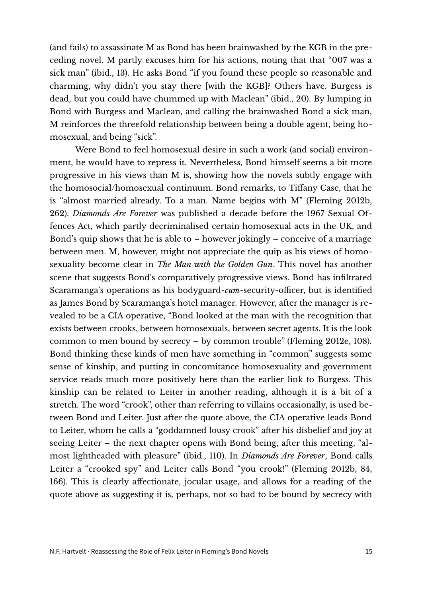(and fails) to assassinate M as Bond has been brainwashed by the KGB in the preceding novel. M partly excuses him for his actions, noting that that "007 was a sick man" (ibid., 13). He asks Bond "if you found these people so reasonable and charming, why didn't you stay there [with the KGB]? Others have. Burgess is dead, but you could have chummed up with Maclean" (ibid., 20). By lumping in Bond with Burgess and Maclean, and calling the brainwashed Bond a sick man, M reinforces the threefold relationship between being a double agent, being homosexual, and being "sick".

Were Bond to feel homosexual desire in such a work (and social) environment, he would have to repress it. Nevertheless, Bond himself seems a bit more progressive in his views than M is, showing how the novels subtly engage with the homosocial/homosexual continuum. Bond remarks, to Tifany Case, that he is "almost married already. To a man. Name begins with M" (Fleming 2012b, 262). *Diamonds Are Forever* was published a decade before the 1967 Sexual Offences Act, which partly decriminalised certain homosexual acts in the UK, and Bond's quip shows that he is able to  $-$  however jokingly  $-$  conceive of a marriage between men. M, however, might not appreciate the quip as his views of homosexuality become clear in *The Man with the Golden Gun*. This novel has another scene that suggests Bond's comparatively progressive views. Bond has infltrated Scaramanga's operations as his bodyguard-*cum*-security-officer, but is identified as James Bond by Scaramanga's hotel manager. However, afer the manager is revealed to be a CIA operative, "Bond looked at the man with the recognition that exists between crooks, between homosexuals, between secret agents. It is the look common to men bound by secrecy – by common trouble" (Fleming 2012e, 108). Bond thinking these kinds of men have something in "common" suggests some sense of kinship, and putting in concomitance homosexuality and government service reads much more positively here than the earlier link to Burgess. This kinship can be related to Leiter in another reading, although it is a bit of a stretch. The word "crook", other than referring to villains occasionally, is used between Bond and Leiter. Just after the quote above, the CIA operative leads Bond to Leiter, whom he calls a "goddamned lousy crook" afer his disbelief and joy at seeing Leiter – the next chapter opens with Bond being, afer this meeting, "almost lightheaded with pleasure" (ibid., 110). In *Diamonds Are Forever*, Bond calls Leiter a "crooked spy" and Leiter calls Bond "you crook!" (Fleming 2012b, 84, 166). This is clearly afectionate, jocular usage, and allows for a reading of the quote above as suggesting it is, perhaps, not so bad to be bound by secrecy with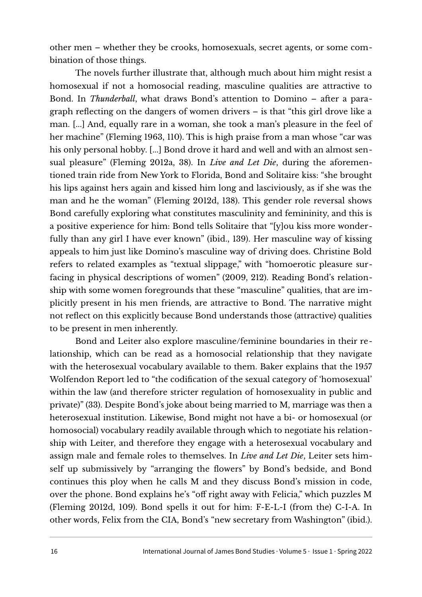other men – whether they be crooks, homosexuals, secret agents, or some combination of those things.

The novels further illustrate that, although much about him might resist a homosexual if not a homosocial reading, masculine qualities are attractive to Bond. In *Thunderball*, what draws Bond's attention to Domino – afer a paragraph refecting on the dangers of women drivers – is that "this girl drove like a man. [...] And, equally rare in a woman, she took a man's pleasure in the feel of her machine" (Fleming 1963, 110). This is high praise from a man whose "car was his only personal hobby. [...] Bond drove it hard and well and with an almost sensual pleasure" (Fleming 2012a, 38). In *Live and Let Die*, during the aforementioned train ride from New York to Florida, Bond and Solitaire kiss: "she brought his lips against hers again and kissed him long and lasciviously, as if she was the man and he the woman" (Fleming 2012d, 138). This gender role reversal shows Bond carefully exploring what constitutes masculinity and femininity, and this is a positive experience for him: Bond tells Solitaire that "[y]ou kiss more wonderfully than any girl I have ever known" (ibid., 139). Her masculine way of kissing appeals to him just like Domino's masculine way of driving does. Christine Bold refers to related examples as "textual slippage," with "homoerotic pleasure surfacing in physical descriptions of women" (2009, 212). Reading Bond's relationship with some women foregrounds that these "masculine" qualities, that are implicitly present in his men friends, are attractive to Bond. The narrative might not refect on this explicitly because Bond understands those (attractive) qualities to be present in men inherently.

Bond and Leiter also explore masculine/feminine boundaries in their relationship, which can be read as a homosocial relationship that they navigate with the heterosexual vocabulary available to them. Baker explains that the 1957 Wolfendon Report led to "the codifcation of the sexual category of 'homosexual' within the law (and therefore stricter regulation of homosexuality in public and private)" (33). Despite Bond's joke about being married to M, marriage was then a heterosexual institution. Likewise, Bond might not have a bi- or homosexual (or homosocial) vocabulary readily available through which to negotiate his relationship with Leiter, and therefore they engage with a heterosexual vocabulary and assign male and female roles to themselves. In *Live and Let Die*, Leiter sets himself up submissively by "arranging the fowers" by Bond's bedside, and Bond continues this ploy when he calls M and they discuss Bond's mission in code, over the phone. Bond explains he's "off right away with Felicia," which puzzles M (Fleming 2012d, 109). Bond spells it out for him: F-E-L-I (from the) C-I-A. In other words, Felix from the CIA, Bond's "new secretary from Washington" (ibid.).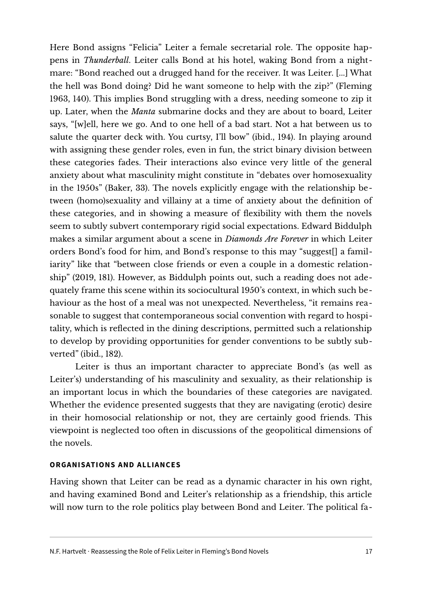Here Bond assigns "Felicia" Leiter a female secretarial role. The opposite happens in *Thunderball*. Leiter calls Bond at his hotel, waking Bond from a nightmare: "Bond reached out a drugged hand for the receiver. It was Leiter. [...] What the hell was Bond doing? Did he want someone to help with the zip?" (Fleming 1963, 140). This implies Bond struggling with a dress, needing someone to zip it up. Later, when the *Manta* submarine docks and they are about to board, Leiter says, "[w]ell, here we go. And to one hell of a bad start. Not a hat between us to salute the quarter deck with. You curtsy, I'll bow" (ibid., 194). In playing around with assigning these gender roles, even in fun, the strict binary division between these categories fades. Their interactions also evince very little of the general anxiety about what masculinity might constitute in "debates over homosexuality in the 1950s" (Baker, 33). The novels explicitly engage with the relationship between (homo)sexuality and villainy at a time of anxiety about the defnition of these categories, and in showing a measure of fexibility with them the novels seem to subtly subvert contemporary rigid social expectations. Edward Biddulph makes a similar argument about a scene in *Diamonds Are Forever* in which Leiter orders Bond's food for him, and Bond's response to this may "suggest[] a familiarity" like that "between close friends or even a couple in a domestic relationship" (2019, 181). However, as Biddulph points out, such a reading does not adequately frame this scene within its sociocultural 1950's context, in which such behaviour as the host of a meal was not unexpected. Nevertheless, "it remains reasonable to suggest that contemporaneous social convention with regard to hospitality, which is refected in the dining descriptions, permitted such a relationship to develop by providing opportunities for gender conventions to be subtly subverted" (ibid., 182).

Leiter is thus an important character to appreciate Bond's (as well as Leiter's) understanding of his masculinity and sexuality, as their relationship is an important locus in which the boundaries of these categories are navigated. Whether the evidence presented suggests that they are navigating (erotic) desire in their homosocial relationship or not, they are certainly good friends. This viewpoint is neglected too ofen in discussions of the geopolitical dimensions of the novels.

### **ORGANISATIONS AND ALLIANCES**

Having shown that Leiter can be read as a dynamic character in his own right, and having examined Bond and Leiter's relationship as a friendship, this article will now turn to the role politics play between Bond and Leiter. The political fa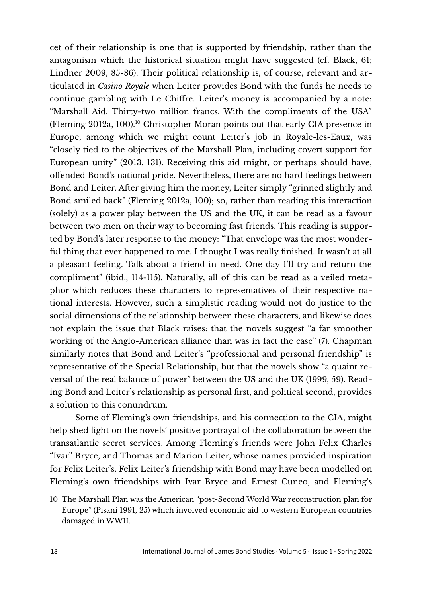cet of their relationship is one that is supported by friendship, rather than the antagonism which the historical situation might have suggested (cf. Black, 61; Lindner 2009, 85-86). Their political relationship is, of course, relevant and articulated in *Casino Royale* when Leiter provides Bond with the funds he needs to continue gambling with Le Chifre. Leiter's money is accompanied by a note: "Marshall Aid. Thirty-two million francs. With the compliments of the USA" (Fleming 2012a, [10](#page-17-0)0).<sup>10</sup> Christopher Moran points out that early CIA presence in Europe, among which we might count Leiter's job in Royale-les-Eaux, was "closely tied to the objectives of the Marshall Plan, including covert support for European unity" (2013, 131). Receiving this aid might, or perhaps should have, ofended Bond's national pride. Nevertheless, there are no hard feelings between Bond and Leiter. Afer giving him the money, Leiter simply "grinned slightly and Bond smiled back" (Fleming 2012a, 100); so, rather than reading this interaction (solely) as a power play between the US and the UK, it can be read as a favour between two men on their way to becoming fast friends. This reading is supported by Bond's later response to the money: "That envelope was the most wonderful thing that ever happened to me. I thought I was really fnished. It wasn't at all a pleasant feeling. Talk about a friend in need. One day I'll try and return the compliment" (ibid., 114-115). Naturally, all of this can be read as a veiled metaphor which reduces these characters to representatives of their respective national interests. However, such a simplistic reading would not do justice to the social dimensions of the relationship between these characters, and likewise does not explain the issue that Black raises: that the novels suggest "a far smoother working of the Anglo-American alliance than was in fact the case" (7). Chapman similarly notes that Bond and Leiter's "professional and personal friendship" is representative of the Special Relationship, but that the novels show "a quaint reversal of the real balance of power" between the US and the UK (1999, 59). Reading Bond and Leiter's relationship as personal frst, and political second, provides a solution to this conundrum.

Some of Fleming's own friendships, and his connection to the CIA, might help shed light on the novels' positive portrayal of the collaboration between the transatlantic secret services. Among Fleming's friends were John Felix Charles "Ivar" Bryce, and Thomas and Marion Leiter, whose names provided inspiration for Felix Leiter's. Felix Leiter's friendship with Bond may have been modelled on Fleming's own friendships with Ivar Bryce and Ernest Cuneo, and Fleming's

<span id="page-17-0"></span><sup>10</sup> The Marshall Plan was the American "post-Second World War reconstruction plan for Europe" (Pisani 1991, 25) which involved economic aid to western European countries damaged in WWII.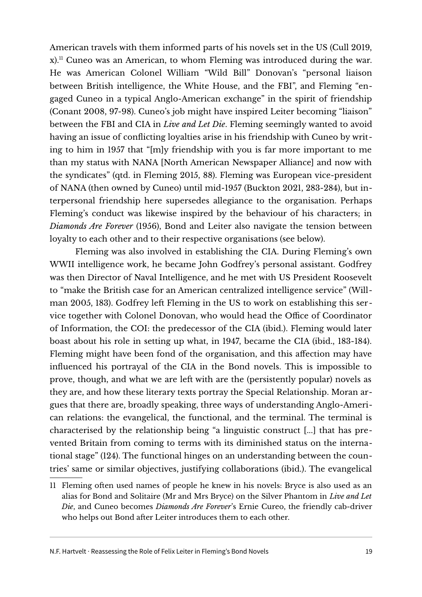American travels with them informed parts of his novels set in the US (Cull 2019, x).[11](#page-18-0) Cuneo was an American, to whom Fleming was introduced during the war. He was American Colonel William "Wild Bill" Donovan's "personal liaison between British intelligence, the White House, and the FBI", and Fleming "engaged Cuneo in a typical Anglo-American exchange" in the spirit of friendship (Conant 2008, 97-98). Cuneo's job might have inspired Leiter becoming "liaison" between the FBI and CIA in *Live and Let Die*. Fleming seemingly wanted to avoid having an issue of conficting loyalties arise in his friendship with Cuneo by writing to him in 1957 that "[m]y friendship with you is far more important to me than my status with NANA [North American Newspaper Alliance] and now with the syndicates" (qtd. in Fleming 2015, 88). Fleming was European vice-president of NANA (then owned by Cuneo) until mid-1957 (Buckton 2021, 283-284), but interpersonal friendship here supersedes allegiance to the organisation. Perhaps Fleming's conduct was likewise inspired by the behaviour of his characters; in *Diamonds Are Forever* (1956), Bond and Leiter also navigate the tension between loyalty to each other and to their respective organisations (see below).

Fleming was also involved in establishing the CIA. During Fleming's own WWII intelligence work, he became John Godfrey's personal assistant. Godfrey was then Director of Naval Intelligence, and he met with US President Roosevelt to "make the British case for an American centralized intelligence service" (Willman 2005, 183). Godfrey left Fleming in the US to work on establishing this service together with Colonel Donovan, who would head the Office of Coordinator of Information, the COI: the predecessor of the CIA (ibid.). Fleming would later boast about his role in setting up what, in 1947, became the CIA (ibid., 183-184). Fleming might have been fond of the organisation, and this afection may have infuenced his portrayal of the CIA in the Bond novels. This is impossible to prove, though, and what we are left with are the (persistently popular) novels as they are, and how these literary texts portray the Special Relationship. Moran argues that there are, broadly speaking, three ways of understanding Anglo-American relations: the evangelical, the functional, and the terminal. The terminal is characterised by the relationship being "a linguistic construct [...] that has prevented Britain from coming to terms with its diminished status on the international stage" (124). The functional hinges on an understanding between the countries' same or similar objectives, justifying collaborations (ibid.). The evangelical

<span id="page-18-0"></span><sup>11</sup> Fleming ofen used names of people he knew in his novels: Bryce is also used as an alias for Bond and Solitaire (Mr and Mrs Bryce) on the Silver Phantom in *Live and Let Die*, and Cuneo becomes *Diamonds Are Forever*'s Ernie Cureo, the friendly cab-driver who helps out Bond afer Leiter introduces them to each other.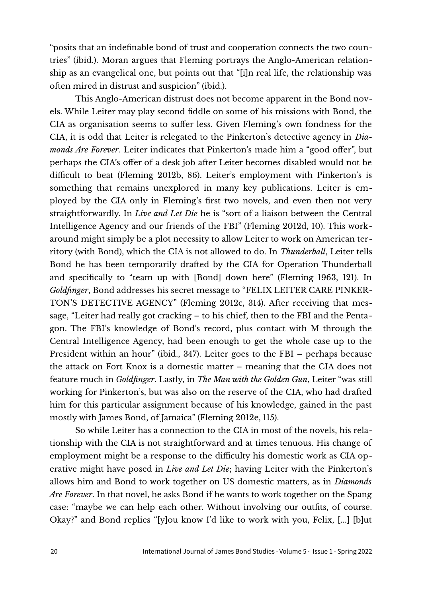"posits that an indefnable bond of trust and cooperation connects the two countries" (ibid.). Moran argues that Fleming portrays the Anglo-American relationship as an evangelical one, but points out that "[i]n real life, the relationship was ofen mired in distrust and suspicion" (ibid.).

This Anglo-American distrust does not become apparent in the Bond novels. While Leiter may play second fddle on some of his missions with Bond, the CIA as organisation seems to sufer less. Given Fleming's own fondness for the CIA, it is odd that Leiter is relegated to the Pinkerton's detective agency in *Diamonds Are Forever*. Leiter indicates that Pinkerton's made him a "good offer", but perhaps the CIA's offer of a desk job after Leiter becomes disabled would not be difficult to beat (Fleming 2012b, 86). Leiter's employment with Pinkerton's is something that remains unexplored in many key publications. Leiter is employed by the CIA only in Fleming's frst two novels, and even then not very straightforwardly. In *Live and Let Die* he is "sort of a liaison between the Central Intelligence Agency and our friends of the FBI" (Fleming 2012d, 10). This workaround might simply be a plot necessity to allow Leiter to work on American territory (with Bond), which the CIA is not allowed to do. In *Thunderball*, Leiter tells Bond he has been temporarily drafed by the CIA for Operation Thunderball and specifcally to "team up with [Bond] down here" (Fleming 1963, 121). In *Goldfinger*, Bond addresses his secret message to "FELIX LEITER CARE PINKER-TON'S DETECTIVE AGENCY" (Fleming 2012c, 314). Afer receiving that message, "Leiter had really got cracking – to his chief, then to the FBI and the Pentagon. The FBI's knowledge of Bond's record, plus contact with M through the Central Intelligence Agency, had been enough to get the whole case up to the President within an hour" (ibid., 347). Leiter goes to the FBI – perhaps because the attack on Fort Knox is a domestic matter – meaning that the CIA does not feature much in *Goldfinger*. Lastly, in *The Man with the Golden Gun*, Leiter "was still working for Pinkerton's, but was also on the reserve of the CIA, who had drafed him for this particular assignment because of his knowledge, gained in the past mostly with James Bond, of Jamaica" (Fleming 2012e, 115).

So while Leiter has a connection to the CIA in most of the novels, his relationship with the CIA is not straightforward and at times tenuous. His change of employment might be a response to the difficulty his domestic work as CIA operative might have posed in *Live and Let Die*; having Leiter with the Pinkerton's allows him and Bond to work together on US domestic matters, as in *Diamonds Are Forever*. In that novel, he asks Bond if he wants to work together on the Spang case: "maybe we can help each other. Without involving our outfts, of course. Okay?" and Bond replies "[y]ou know I'd like to work with you, Felix, [...] [b]ut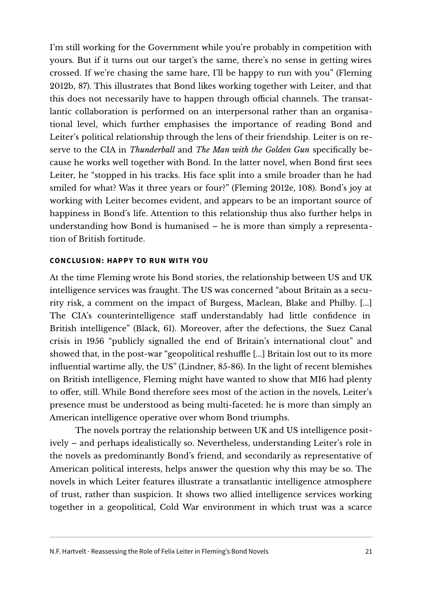I'm still working for the Government while you're probably in competition with yours. But if it turns out our target's the same, there's no sense in getting wires crossed. If we're chasing the same hare, I'll be happy to run with you" (Fleming 2012b, 87). This illustrates that Bond likes working together with Leiter, and that this does not necessarily have to happen through official channels. The transatlantic collaboration is performed on an interpersonal rather than an organisational level, which further emphasises the importance of reading Bond and Leiter's political relationship through the lens of their friendship. Leiter is on reserve to the CIA in *Thunderball* and *The Man with the Golden Gun* specifcally because he works well together with Bond. In the latter novel, when Bond frst sees Leiter, he "stopped in his tracks. His face split into a smile broader than he had smiled for what? Was it three years or four?" (Fleming 2012e, 108). Bond's joy at working with Leiter becomes evident, and appears to be an important source of happiness in Bond's life. Attention to this relationship thus also further helps in understanding how Bond is humanised – he is more than simply a representation of British fortitude.

#### **CONCLUSION: HAPPY TO RUN WITH YOU**

At the time Fleming wrote his Bond stories, the relationship between US and UK intelligence services was fraught. The US was concerned "about Britain as a security risk, a comment on the impact of Burgess, Maclean, Blake and Philby. [...] The CIA's counterintelligence staff understandably had little confidence in British intelligence" (Black, 61). Moreover, after the defections, the Suez Canal crisis in 1956 "publicly signalled the end of Britain's international clout" and showed that, in the post-war "geopolitical reshuffle [...] Britain lost out to its more infuential wartime ally, the US" (Lindner, 85-86). In the light of recent blemishes on British intelligence, Fleming might have wanted to show that MI6 had plenty to ofer, still. While Bond therefore sees most of the action in the novels, Leiter's presence must be understood as being multi-faceted: he is more than simply an American intelligence operative over whom Bond triumphs.

The novels portray the relationship between UK and US intelligence positively – and perhaps idealistically so. Nevertheless, understanding Leiter's role in the novels as predominantly Bond's friend, and secondarily as representative of American political interests, helps answer the question why this may be so. The novels in which Leiter features illustrate a transatlantic intelligence atmosphere of trust, rather than suspicion. It shows two allied intelligence services working together in a geopolitical, Cold War environment in which trust was a scarce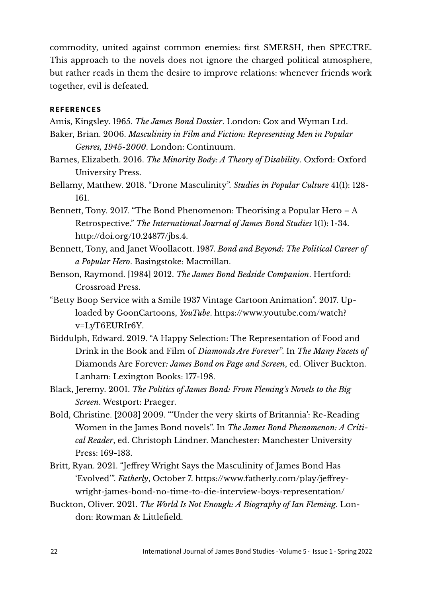commodity, united against common enemies: frst SMERSH, then SPECTRE. This approach to the novels does not ignore the charged political atmosphere, but rather reads in them the desire to improve relations: whenever friends work together, evil is defeated.

### **REFERENCES**

Amis, Kingsley. 1965. *The James Bond Dossier*. London: Cox and Wyman Ltd.

- Baker, Brian. 2006. *Masculinity in Film and Fiction: Representing Men in Popular Genres, 1945-2000*. London: Continuum.
- Barnes, Elizabeth. 2016. *The Minority Body: A Theory of Disability*. Oxford: Oxford University Press.
- Bellamy, Matthew. 2018. "Drone Masculinity". *Studies in Popular Culture* 41(1): 128- 161.
- Bennett, Tony. 2017. "The Bond Phenomenon: Theorising a Popular Hero A Retrospective." *The International Journal of James Bond Studies* 1(1): 1-34. [http://doi.org/10.24877/jbs.4.](http://doi.org/10.24877/jbs.4)
- Bennett, Tony, and Janet Woollacott. 1987. *Bond and Beyond: The Political Career of a Popular Hero*. Basingstoke: Macmillan.
- Benson, Raymond. [1984] 2012. *The James Bond Bedside Companion*. Hertford: Crossroad Press.
- "Betty Boop Service with a Smile 1937 Vintage Cartoon Animation". 2017. Uploaded by GoonCartoons, *YouTube*. [https://www.youtube.com/watch?](https://www.youtube.com/watch?v=LyT6EURIr6Y) [v=LyT6EURIr6Y.](https://www.youtube.com/watch?v=LyT6EURIr6Y)
- Biddulph, Edward. 2019. "A Happy Selection: The Representation of Food and Drink in the Book and Film of *Diamonds Are Forever*". In *The Many Facets of*  Diamonds Are Forever*: James Bond on Page and Screen*, ed. Oliver Buckton. Lanham: Lexington Books: 177-198.
- Black, Jeremy. 2001. *The Politics of James Bond: From Fleming's Novels to the Big Screen*. Westport: Praeger.
- Bold, Christine. [2003] 2009. "'Under the very skirts of Britannia': Re-Reading Women in the James Bond novels". In *The James Bond Phenomenon: A Critical Reader*, ed. Christoph Lindner. Manchester: Manchester University Press: 169-183.
- Britt, Ryan. 2021. "Jefrey Wright Says the Masculinity of James Bond Has 'Evolved'". *Fatherly*, October 7. [https://www.fatherly.com/play/jefrey](https://www.fatherly.com/play/jeffrey-wright-james-bond-no-time-to-die-interview-boys-representation/)[wright-james-bond-no-time-to-die-interview-boys-representation/](https://www.fatherly.com/play/jeffrey-wright-james-bond-no-time-to-die-interview-boys-representation/)
- Buckton, Oliver. 2021. *The World Is Not Enough: A Biography of Ian Fleming*. London: Rowman & Littlefeld.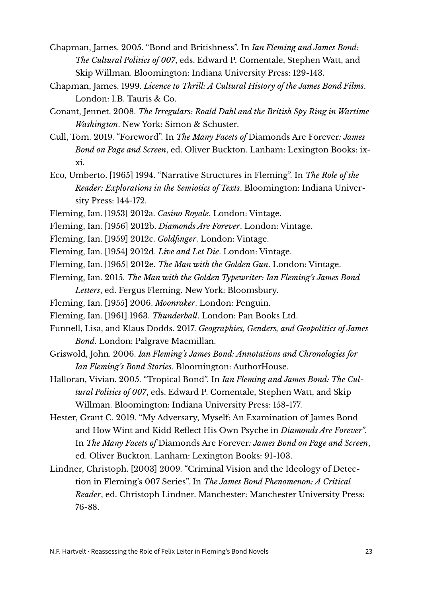- Chapman, James. 2005. "Bond and Britishness". In *Ian Fleming and James Bond: The Cultural Politics of 007*, eds. Edward P. Comentale, Stephen Watt, and Skip Willman. Bloomington: Indiana University Press: 129-143.
- Chapman, James. 1999. *Licence to Thrill: A Cultural History of the James Bond Films*. London: I.B. Tauris & Co.
- Conant, Jennet. 2008. *The Irregulars: Roald Dahl and the British Spy Ring in Wartime Washington*. New York: Simon & Schuster.
- Cull, Tom. 2019. "Foreword". In *The Many Facets of* Diamonds Are Forever*: James Bond on Page and Screen*, ed. Oliver Buckton. Lanham: Lexington Books: ixxi.
- Eco, Umberto. [1965] 1994. "Narrative Structures in Fleming". In *The Role of the Reader: Explorations in the Semiotics of Texts*. Bloomington: Indiana University Press: 144-172.
- Fleming, Ian. [1953] 2012a. *Casino Royale*. London: Vintage.
- Fleming, Ian. [1956] 2012b. *Diamonds Are Forever*. London: Vintage.
- Fleming, Ian. [1959] 2012c. *Goldfinger*. London: Vintage.
- Fleming, Ian. [1954] 2012d. *Live and Let Die*. London: Vintage.
- Fleming, Ian. [1965] 2012e. *The Man with the Golden Gun*. London: Vintage.
- Fleming, Ian. 2015. *The Man with the Golden Typewriter: Ian Fleming's James Bond Letters*, ed. Fergus Fleming. New York: Bloomsbury.
- Fleming, Ian. [1955] 2006. *Moonraker*. London: Penguin.
- Fleming, Ian. [1961] 1963. *Thunderball*. London: Pan Books Ltd.
- Funnell, Lisa, and Klaus Dodds. 2017. *Geographies, Genders, and Geopolitics of James Bond*. London: Palgrave Macmillan.
- Griswold, John. 2006. *Ian Fleming's James Bond: Annotations and Chronologies for Ian Fleming's Bond Stories*. Bloomington: AuthorHouse.
- Halloran, Vivian. 2005. "Tropical Bond". In *Ian Fleming and James Bond: The Cultural Politics of 007*, eds. Edward P. Comentale, Stephen Watt, and Skip Willman. Bloomington: Indiana University Press: 158-177.
- Hester, Grant C. 2019. "My Adversary, Myself: An Examination of James Bond and How Wint and Kidd Refect His Own Psyche in *Diamonds Are Forever*". In *The Many Facets of* Diamonds Are Forever*: James Bond on Page and Screen*, ed. Oliver Buckton. Lanham: Lexington Books: 91-103.
- Lindner, Christoph. [2003] 2009. "Criminal Vision and the Ideology of Detection in Fleming's 007 Series". In *The James Bond Phenomenon: A Critical Reader*, ed. Christoph Lindner. Manchester: Manchester University Press: 76-88.